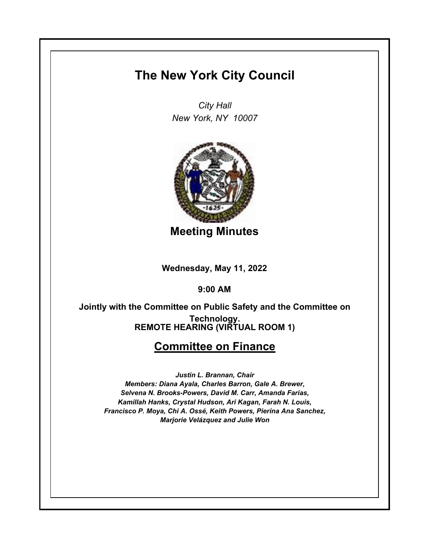# **The New York City Council**

*City Hall New York, NY 10007*



**Meeting Minutes**

**Wednesday, May 11, 2022**

**9:00 AM**

**REMOTE HEARING (VIRTUAL ROOM 1) Jointly with the Committee on Public Safety and the Committee on Technology.**

## **Committee on Finance**

*Justin L. Brannan, Chair Members: Diana Ayala, Charles Barron, Gale A. Brewer, Selvena N. Brooks-Powers, David M. Carr, Amanda Farias, Kamillah Hanks, Crystal Hudson, Ari Kagan, Farah N. Louis, Francisco P. Moya, Chi A. Ossé, Keith Powers, Pierina Ana Sanchez, Marjorie Velázquez and Julie Won*